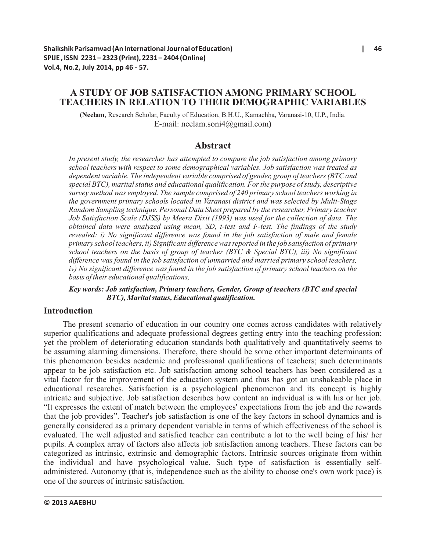# **A STUDY OF JOB SATISFACTION AMONG PRIMARY SCHOOL TEACHERS IN RELATION TO THEIR DEMOGRAPHIC VARIABLES**

**(Neelam**, Research Scholar, Faculty of Education, B.H.U., Kamachha, Varanasi-10, U.P., India. E-mail: neelam.soni4@gmail.com**)**

## **Abstract**

*In present study, the researcher has attempted to compare the job satisfaction among primary school teachers with respect to some demographical variables. Job satisfaction was treated as dependent variable. The independent variable comprised of gender, group of teachers (BTC and special BTC), marital status and educational qualification. For the purpose of study, descriptive survey method was employed. The sample comprised of 240 primary school teachers working in the government primary schools located in Varanasi district and was selected by Multi-Stage Random Sampling technique. Personal Data Sheet prepared by the researcher, Primary teacher Job Satisfaction Scale (DJSS) by Meera Dixit (1993) was used for the collection of data. The obtained data were analyzed using mean, SD, t-test and F-test. The findings of the study revealed: i) No significant difference was found in the job satisfaction of male and female primary school teachers, ii) Significant difference was reported in the job satisfaction of primary school teachers on the basis of group of teacher (BTC & Special BTC), iii) No significant difference was found in the job satisfaction of unmarried and married primary school teachers, iv)* No significant difference was found in the job satisfaction of primary school teachers on the *basis of their educational qualifications,* 

*Key words: Job satisfaction, Primary teachers, Gender, Group of teachers (BTC and special BTC), Marital status, Educational qualification.* 

### **Introduction**

The present scenario of education in our country one comes across candidates with relatively superior qualifications and adequate professional degrees getting entry into the teaching profession; yet the problem of deteriorating education standards both qualitatively and quantitatively seems to be assuming alarming dimensions. Therefore, there should be some other important determinants of this phenomenon besides academic and professional qualifications of teachers; such determinants appear to be job satisfaction etc. Job satisfaction among school teachers has been considered as a vital factor for the improvement of the education system and thus has got an unshakeable place in educational researches. Satisfaction is a psychological phenomenon and its concept is highly intricate and subjective. Job satisfaction describes how content an individual is with his or her job. "It expresses the extent of match between the employees' expectations from the job and the rewards that the job provides". Teacher's job satisfaction is one of the key factors in school dynamics and is generally considered as a primary dependent variable in terms of which effectiveness of the school is evaluated. The well adjusted and satisfied teacher can contribute a lot to the well being of his/ her pupils. A complex array of factors also affects job satisfaction among teachers. These factors can be categorized as intrinsic, extrinsic and demographic factors. Intrinsic sources originate from within the individual and have psychological value. Such type of satisfaction is essentially selfadministered. Autonomy (that is, independence such as the ability to choose one's own work pace) is one of the sources of intrinsic satisfaction.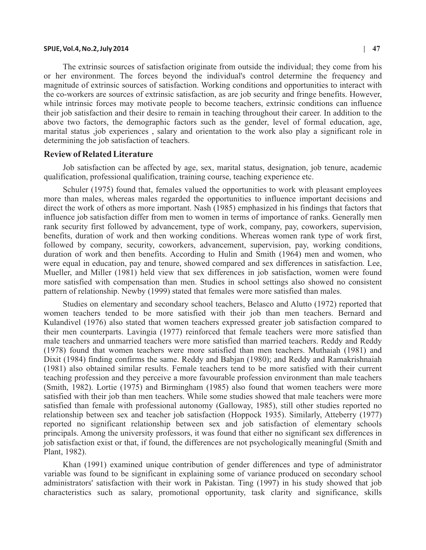#### **SPIJE, Vol.4, No.2, July 2014 | 47**

The extrinsic sources of satisfaction originate from outside the individual; they come from his or her environment. The forces beyond the individual's control determine the frequency and magnitude of extrinsic sources of satisfaction. Working conditions and opportunities to interact with the co-workers are sources of extrinsic satisfaction, as are job security and fringe benefits. However, while intrinsic forces may motivate people to become teachers, extrinsic conditions can influence their job satisfaction and their desire to remain in teaching throughout their career. In addition to the above two factors, the demographic factors such as the gender, level of formal education, age, marital status ,job experiences , salary and orientation to the work also play a significant role in determining the job satisfaction of teachers.

#### **Review of Related Literature**

Job satisfaction can be affected by age, sex, marital status, designation, job tenure, academic qualification, professional qualification, training course, teaching experience etc.

Schuler (1975) found that, females valued the opportunities to work with pleasant employees more than males, whereas males regarded the opportunities to influence important decisions and direct the work of others as more important. Nash (1985) emphasized in his findings that factors that influence job satisfaction differ from men to women in terms of importance of ranks. Generally men rank security first followed by advancement, type of work, company, pay, coworkers, supervision, benefits, duration of work and then working conditions. Whereas women rank type of work first, followed by company, security, coworkers, advancement, supervision, pay, working conditions, duration of work and then benefits. According to Hulin and Smith (1964) men and women, who were equal in education, pay and tenure, showed compared and sex differences in satisfaction. Lee, Mueller, and Miller (1981) held view that sex differences in job satisfaction, women were found more satisfied with compensation than men. Studies in school settings also showed no consistent pattern of relationship. Newby (1999) stated that females were more satisfied than males.

Studies on elementary and secondary school teachers, Belasco and Alutto (1972) reported that women teachers tended to be more satisfied with their job than men teachers. Bernard and Kulandivel (1976) also stated that women teachers expressed greater job satisfaction compared to their men counterparts. Lavingia (1977) reinforced that female teachers were more satisfied than male teachers and unmarried teachers were more satisfied than married teachers. Reddy and Reddy (1978) found that women teachers were more satisfied than men teachers. Muthaiah (1981) and Dixit (1984) finding confirms the same. Reddy and Babjan (1980); and Reddy and Ramakrishnaiah (1981) also obtained similar results. Female teachers tend to be more satisfied with their current teaching profession and they perceive a more favourable profession environment than male teachers (Smith, 1982). Lortie (1975) and Birmingham (1985) also found that women teachers were more satisfied with their job than men teachers. While some studies showed that male teachers were more satisfied than female with professional autonomy (Galloway, 1985), still other studies reported no relationship between sex and teacher job satisfaction (Hoppock 1935). Similarly, Atteberry (1977) reported no significant relationship between sex and job satisfaction of elementary schools principals. Among the university professors, it was found that either no significant sex differences in job satisfaction exist or that, if found, the differences are not psychologically meaningful (Smith and Plant, 1982).

Khan (1991) examined unique contribution of gender differences and type of administrator variable was found to be significant in explaining some of variance produced on secondary school administrators' satisfaction with their work in Pakistan. Ting (1997) in his study showed that job characteristics such as salary, promotional opportunity, task clarity and significance, skills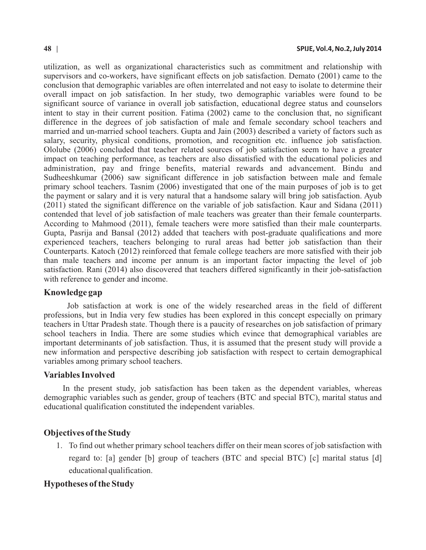utilization, as well as organizational characteristics such as commitment and relationship with supervisors and co-workers, have significant effects on job satisfaction. Demato (2001) came to the conclusion that demographic variables are often interrelated and not easy to isolate to determine their overall impact on job satisfaction. In her study, two demographic variables were found to be significant source of variance in overall job satisfaction, educational degree status and counselors intent to stay in their current position. Fatima (2002) came to the conclusion that, no significant difference in the degrees of job satisfaction of male and female secondary school teachers and married and un-married school teachers. Gupta and Jain (2003) described a variety of factors such as salary, security, physical conditions, promotion, and recognition etc. influence job satisfaction. Ololube (2006) concluded that teacher related sources of job satisfaction seem to have a greater impact on teaching performance, as teachers are also dissatisfied with the educational policies and administration, pay and fringe benefits, material rewards and advancement. Bindu and Sudheeshkumar (2006) saw significant difference in job satisfaction between male and female primary school teachers. Tasnim (2006) investigated that one of the main purposes of job is to get the payment or salary and it is very natural that a handsome salary will bring job satisfaction. Ayub (2011) stated the significant difference on the variable of job satisfaction. Kaur and Sidana (2011) contended that level of job satisfaction of male teachers was greater than their female counterparts. According to Mahmood (2011), female teachers were more satisfied than their male counterparts. Gupta, Pasrija and Bansal (2012) added that teachers with post-graduate qualifications and more experienced teachers, teachers belonging to rural areas had better job satisfaction than their Counterparts. Katoch (2012) reinforced that female college teachers are more satisfied with their job than male teachers and income per annum is an important factor impacting the level of job satisfaction. Rani (2014) also discovered that teachers differed significantly in their job-satisfaction with reference to gender and income.

#### **Knowledge gap**

Job satisfaction at work is one of the widely researched areas in the field of different professions, but in India very few studies has been explored in this concept especially on primary teachers in Uttar Pradesh state. Though there is a paucity of researches on job satisfaction of primary school teachers in India. There are some studies which evince that demographical variables are important determinants of job satisfaction. Thus, it is assumed that the present study will provide a new information and perspective describing job satisfaction with respect to certain demographical variables among primary school teachers.

### **Variables Involved**

In the present study, job satisfaction has been taken as the dependent variables, whereas demographic variables such as gender, group of teachers (BTC and special BTC), marital status and educational qualification constituted the independent variables.

## **Objectives of the Study**

1. To find out whether primary school teachers differ on their mean scores of job satisfaction with regard to: [a] gender [b] group of teachers (BTC and special BTC) [c] marital status [d] educational qualification.

## **Hypotheses of the Study**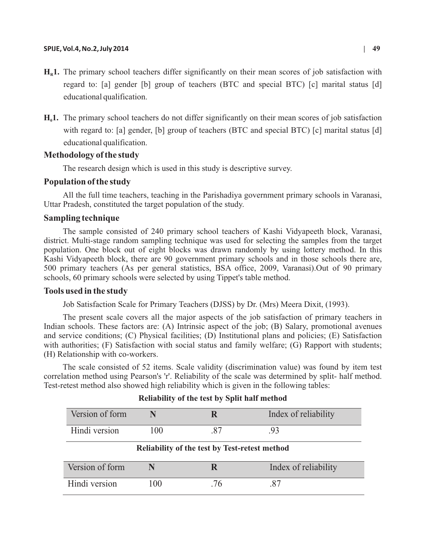#### **SPIJE, Vol.4, No.2, July 2014 | 49**

- $H<sub>R</sub>$ **1.** The primary school teachers differ significantly on their mean scores of job satisfaction with regard to: [a] gender [b] group of teachers (BTC and special BTC) [c] marital status [d] educational qualification.
- **H<sub>0</sub>1.** The primary school teachers do not differ significantly on their mean scores of job satisfaction with regard to: [a] gender, [b] group of teachers (BTC and special BTC) [c] marital status [d] educational qualification.

### **Methodology of the study**

The research design which is used in this study is descriptive survey.

### **Population of the study**

All the full time teachers, teaching in the Parishadiya government primary schools in Varanasi, Uttar Pradesh, constituted the target population of the study.

#### **Sampling technique**

The sample consisted of 240 primary school teachers of Kashi Vidyapeeth block, Varanasi, district. Multi-stage random sampling technique was used for selecting the samples from the target population. One block out of eight blocks was drawn randomly by using lottery method. In this Kashi Vidyapeeth block, there are 90 government primary schools and in those schools there are, 500 primary teachers (As per general statistics, BSA office, 2009, Varanasi).Out of 90 primary schools, 60 primary schools were selected by using Tippet's table method.

#### **Tools used in the study**

Job Satisfaction Scale for Primary Teachers (DJSS) by Dr. (Mrs) Meera Dixit, (1993).

The present scale covers all the major aspects of the job satisfaction of primary teachers in Indian schools. These factors are: (A) Intrinsic aspect of the job; (B) Salary, promotional avenues and service conditions; (C) Physical facilities; (D) Institutional plans and policies; (E) Satisfaction with authorities; (F) Satisfaction with social status and family welfare; (G) Rapport with students; (H) Relationship with co-workers.

The scale consisted of 52 items. Scale validity (discrimination value) was found by item test correlation method using Pearson's 'r'. Reliability of the scale was determined by split- half method. Test-retest method also showed high reliability which is given in the following tables:

| Version of form                               |     | R   | Index of reliability |  |  |  |  |
|-----------------------------------------------|-----|-----|----------------------|--|--|--|--|
| Hindi version                                 | 100 | .87 | .93                  |  |  |  |  |
| Reliability of the test by Test-retest method |     |     |                      |  |  |  |  |
| Version of form                               |     | R   | Index of reliability |  |  |  |  |
| Hindi version                                 | 100 | .76 | .87                  |  |  |  |  |

## **Reliability of the test by Split half method**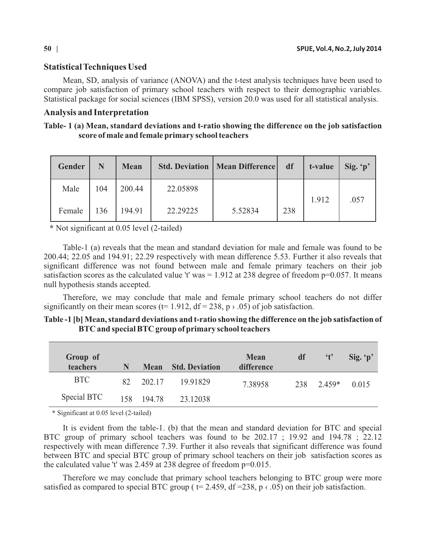### **Statistical Techniques Used**

Mean, SD, analysis of variance (ANOVA) and the t-test analysis techniques have been used to compare job satisfaction of primary school teachers with respect to their demographic variables. Statistical package for social sciences (IBM SPSS), version 20.0 was used for all statistical analysis.

#### **Analysis and Interpretation**

### **Table- 1 (a) Mean, standard deviations and t-ratio showing the difference on the job satisfaction score of male and female primary school teachers**

| Gender | N   | <b>Mean</b> |          | <b>Std. Deviation   Mean Difference  </b> | df  | t-value | Sig. $p'$ |
|--------|-----|-------------|----------|-------------------------------------------|-----|---------|-----------|
| Male   | 104 | 200.44      | 22.05898 |                                           |     | 1.912   | .057      |
| Female | 136 | 194.91      | 22.29225 | 5.52834                                   | 238 |         |           |

**\*** Not significant at 0.05 level (2-tailed)

Table-1 (a) reveals that the mean and standard deviation for male and female was found to be 200.44; 22.05 and 194.91; 22.29 respectively with mean difference 5.53. Further it also reveals that significant difference was not found between male and female primary teachers on their job satisfaction scores as the calculated value 't' was  $= 1.912$  at 238 degree of freedom p=0.057. It means null hypothesis stands accepted.

Therefore, we may conclude that male and female primary school teachers do not differ significantly on their mean scores (t= 1.912, df = 238, p  $\rightarrow$  .05) of job satisfaction.

| Table -1 [b] Mean, standard deviations and t-ratio showing the difference on the job satisfaction of |  |
|------------------------------------------------------------------------------------------------------|--|
| BTC and special BTC group of primary school teachers                                                 |  |

| Group of<br>teachers | N  | <b>Mean</b> | <b>Std. Deviation</b> | <b>Mean</b><br>difference | df  | $\mathfrak{t}$ | Sig. $p'$ |
|----------------------|----|-------------|-----------------------|---------------------------|-----|----------------|-----------|
| <b>BTC</b>           | 82 | 202.17      | 19.91829              | 7.38958                   | 238 | $2.459*$       | 0.015     |
| Special BTC          |    | 158 194.78  | 23.12038              |                           |     |                |           |

**\*** Significant at 0.05 level (2-tailed)

It is evident from the table-1. (b) that the mean and standard deviation for BTC and special BTC group of primary school teachers was found to be 202.17 ; 19.92 and 194.78 ; 22.12 respectively with mean difference 7.39. Further it also reveals that significant difference was found between BTC and special BTC group of primary school teachers on their job satisfaction scores as the calculated value 't' was 2.459 at 238 degree of freedom p=0.015.

Therefore we may conclude that primary school teachers belonging to BTC group were more satisfied as compared to special BTC group ( $t = 2.459$ , df = 238, p  $\langle .05 \rangle$ ) on their job satisfaction.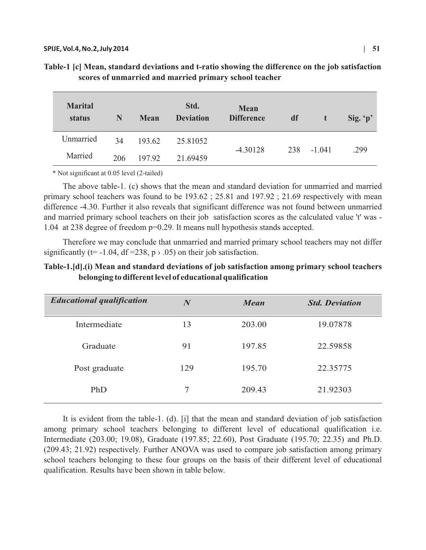| <b>Marital</b><br>status | N   | <b>Mean</b> | Std.<br><b>Deviation</b> | <b>Mean</b><br><b>Difference</b> | df  | 47       | Sig. $p'$ |
|--------------------------|-----|-------------|--------------------------|----------------------------------|-----|----------|-----------|
| Unmarried                | 34  | 193.62      | 25.81052                 |                                  |     |          |           |
| Married                  | 206 | 197.92      | 21.69459                 | $-4.30128$                       | 238 | $-1.041$ | .299      |

| Table-1 [c] Mean, standard deviations and t-ratio showing the difference on the job satisfaction |
|--------------------------------------------------------------------------------------------------|
| scores of unmarried and married primary school teacher                                           |

\* Not significant at 0.05 level (2-tailed)

The above table-1. (c) shows that the mean and standard deviation for unmarried and married primary school teachers was found to be 193.62 ; 25.81 and 197.92 ; 21.69 respectively with mean difference -4.30. Further it also reveals that significant difference was not found between unmarried and married primary school teachers on their job satisfaction scores as the calculated value 't' was - 1.04 at 238 degree of freedom p=0.29. It means null hypothesis stands accepted.

Therefore we may conclude that unmarried and married primary school teachers may not differ significantly (t= -1.04, df =238,  $p \rightarrow .05$ ) on their job satisfaction.

**Table-1.[d].(i) Mean and standard deviations of job satisfaction among primary school teachers belonging to different level of educational qualification**

| $\boldsymbol{N}$ | <b>Mean</b> | <b>Std. Deviation</b> |
|------------------|-------------|-----------------------|
| 13               | 203.00      | 19.07878              |
| 91               | 197.85      | 22.59858              |
| 129              | 195.70      | 22.35775              |
| 7                | 209.43      | 21.92303              |
|                  |             |                       |

It is evident from the table-1. (d). [i] that the mean and standard deviation of job satisfaction among primary school teachers belonging to different level of educational qualification i.e. Intermediate (203.00; 19.08), Graduate (197.85; 22.60), Post Graduate (195.70; 22.35) and Ph.D. (209.43; 21.92) respectively. Further ANOVA was used to compare job satisfaction among primary school teachers belonging to these four groups on the basis of their different level of educational qualification. Results have been shown in table below.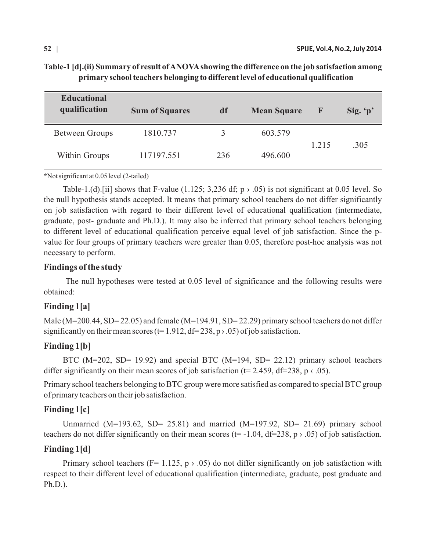## **Table-1 [d].(ii) Summary of result of ANOVAshowing the difference on the job satisfaction among primary school teachers belonging to different level of educational qualification**

| <b>Educational</b><br>qualification | <b>Sum of Squares</b> | df  | <b>Mean Square</b> | F     | Sig. $p'$ |
|-------------------------------------|-----------------------|-----|--------------------|-------|-----------|
| <b>Between Groups</b>               | 1810.737              |     | 603.579            |       |           |
| Within Groups                       | 117197.551            | 236 | 496.600            | 1.215 | .305      |

**\***Not significant at 0.05 level (2-tailed)

Table-1.(d). [ii] shows that F-value (1.125; 3,236 df;  $p \rightarrow .05$ ) is not significant at 0.05 level. So the null hypothesis stands accepted. It means that primary school teachers do not differ significantly on job satisfaction with regard to their different level of educational qualification (intermediate, graduate, post- graduate and Ph.D.). It may also be inferred that primary school teachers belonging to different level of educational qualification perceive equal level of job satisfaction. Since the pvalue for four groups of primary teachers were greater than 0.05, therefore post-hoc analysis was not necessary to perform.

## **Findings of the study**

The null hypotheses were tested at 0.05 level of significance and the following results were obtained:

# **Finding 1[a]**

Male (M=200.44, SD= 22.05) and female (M=194.91, SD= 22.29) primary school teachers do not differ significantly on their mean scores (t= 1.912, df= 238, p  $\rightarrow$  .05) of job satisfaction.

# **Finding 1[b]**

BTC (M=202, SD= 19.92) and special BTC (M=194, SD= 22.12) primary school teachers differ significantly on their mean scores of job satisfaction ( $t= 2.459$ ,  $df=238$ ,  $p \in .05$ ).

Primary school teachers belonging to BTC group were more satisfied as compared to special BTC group of primary teachers on their job satisfaction.

# **Finding 1[c]**

Unmarried (M=193.62, SD= 25.81) and married (M=197.92, SD= 21.69) primary school teachers do not differ significantly on their mean scores (t= -1.04, df=238, p  $\rightarrow$  .05) of job satisfaction.

# **Finding 1[d]**

Primary school teachers (F= 1.125,  $p > .05$ ) do not differ significantly on job satisfaction with respect to their different level of educational qualification (intermediate, graduate, post graduate and Ph.D.).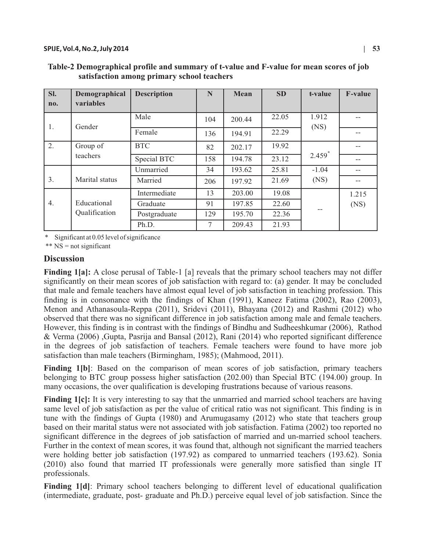| SI. | Demographical    | <b>Description</b> | N   | Mean   | <b>SD</b> | t-value       | <b>F-value</b> |
|-----|------------------|--------------------|-----|--------|-----------|---------------|----------------|
| no. | <b>variables</b> |                    |     |        |           |               |                |
| 1.  | Gender           | Male               | 104 | 200.44 | 22.05     | 1.912<br>(NS) |                |
|     |                  | Female             | 136 | 194.91 | 22.29     |               | $-$            |
| 2.  | Group of         | <b>BTC</b>         | 82  | 202.17 | 19.92     |               | --             |
|     | teachers         | Special BTC        | 158 | 194.78 | 23.12     | $2.459*$      | $-$            |
|     |                  | Unmarried          | 34  | 193.62 | 25.81     | $-1.04$       |                |
| 3.  | Marital status   | Married            | 206 | 197.92 | 21.69     | (NS)          |                |
|     |                  | Intermediate       | 13  | 203.00 | 19.08     |               | 1.215          |
| 4.  | Educational      | Graduate           | 91  | 197.85 | 22.60     |               | (NS)           |
|     | Qualification    | Postgraduate       | 129 | 195.70 | 22.36     |               |                |
|     |                  | Ph.D.              | 7   | 209.43 | 21.93     |               |                |

 **Table-2 Demographical profile and summary of t-value and F-value for mean scores of job satisfaction among primary school teachers** 

Significant at 0.05 level of significance

\*\* NS = not significant

### **Discussion**

**Finding 1[a]:** A close perusal of Table-1 [a] reveals that the primary school teachers may not differ significantly on their mean scores of job satisfaction with regard to: (a) gender. It may be concluded that male and female teachers have almost equal level of job satisfaction in teaching profession. This finding is in consonance with the findings of Khan (1991), Kaneez Fatima (2002), Rao (2003), Menon and Athanasoula-Reppa (2011), Sridevi (2011), Bhayana (2012) and Rashmi (2012) who observed that there was no significant difference in job satisfaction among male and female teachers. However, this finding is in contrast with the findings of Bindhu and Sudheeshkumar (2006), Rathod & Verma (2006) ,Gupta, Pasrija and Bansal (2012), Rani (2014) who reported significant difference in the degrees of job satisfaction of teachers. Female teachers were found to have more job satisfaction than male teachers (Birmingham, 1985); (Mahmood, 2011).

**Finding 1[b]**: Based on the comparison of mean scores of job satisfaction, primary teachers belonging to BTC group possess higher satisfaction (202.00) than Special BTC (194.00) group. In many occasions, the over qualification is developing frustrations because of various reasons.

**Finding 1[c]:** It is very interesting to say that the unmarried and married school teachers are having same level of job satisfaction as per the value of critical ratio was not significant. This finding is in tune with the findings of Gupta (1980) and Arumugasamy (2012) who state that teachers group based on their marital status were not associated with job satisfaction. Fatima (2002) too reported no significant difference in the degrees of job satisfaction of married and un-married school teachers. Further in the context of mean scores, it was found that, although not significant the married teachers were holding better job satisfaction (197.92) as compared to unmarried teachers (193.62). Sonia (2010) also found that married IT professionals were generally more satisfied than single IT professionals.

Finding 1<sup>[d]</sup>: Primary school teachers belonging to different level of educational qualification (intermediate, graduate, post- graduate and Ph.D.) perceive equal level of job satisfaction. Since the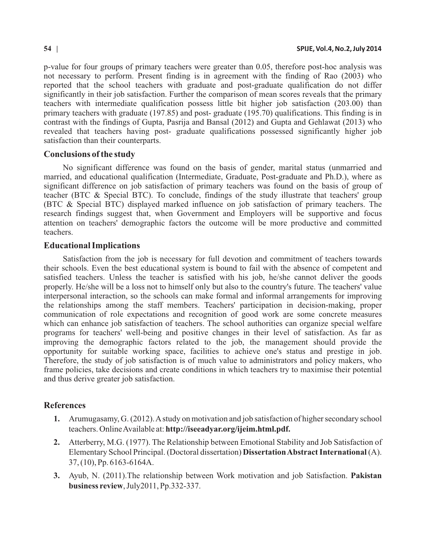p-value for four groups of primary teachers were greater than 0.05, therefore post-hoc analysis was not necessary to perform. Present finding is in agreement with the finding of Rao (2003) who reported that the school teachers with graduate and post-graduate qualification do not differ significantly in their job satisfaction. Further the comparison of mean scores reveals that the primary teachers with intermediate qualification possess little bit higher job satisfaction (203.00) than primary teachers with graduate (197.85) and post- graduate (195.70) qualifications. This finding is in contrast with the findings of Gupta, Pasrija and Bansal (2012) and Gupta and Gehlawat (2013) who revealed that teachers having post- graduate qualifications possessed significantly higher job satisfaction than their counterparts.

### **Conclusions of the study**

No significant difference was found on the basis of gender, marital status (unmarried and married, and educational qualification (Intermediate, Graduate, Post-graduate and Ph.D.), where as significant difference on job satisfaction of primary teachers was found on the basis of group of teacher (BTC & Special BTC). To conclude, findings of the study illustrate that teachers' group (BTC & Special BTC) displayed marked influence on job satisfaction of primary teachers. The research findings suggest that, when Government and Employers will be supportive and focus attention on teachers' demographic factors the outcome will be more productive and committed teachers.

## **Educational Implications**

Satisfaction from the job is necessary for full devotion and commitment of teachers towards their schools. Even the best educational system is bound to fail with the absence of competent and satisfied teachers. Unless the teacher is satisfied with his job, he/she cannot deliver the goods properly. He/she will be a loss not to himself only but also to the country's future. The teachers' value interpersonal interaction, so the schools can make formal and informal arrangements for improving the relationships among the staff members. Teachers' participation in decision-making, proper communication of role expectations and recognition of good work are some concrete measures which can enhance job satisfaction of teachers. The school authorities can organize special welfare programs for teachers' well-being and positive changes in their level of satisfaction. As far as improving the demographic factors related to the job, the management should provide the opportunity for suitable working space, facilities to achieve one's status and prestige in job. Therefore, the study of job satisfaction is of much value to administrators and policy makers, who frame policies, take decisions and create conditions in which teachers try to maximise their potential and thus derive greater job satisfaction.

## **References**

- **1.** Arumugasamy, G. (2012). Astudy on motivation and job satisfaction of higher secondary school teachers. Online Available at: **http://iseeadyar.org/ijeim.html.pdf.**
- **2.** Atterberry, M.G. (1977). The Relationship between Emotional Stability and Job Satisfaction of Elementary School Principal. (Doctoral dissertation) **Dissertation Abstract International** (A). 37, (10), Pp. 6163-6164A.
- **3.** Ayub, N. (2011).The relationship between Work motivation and job Satisfaction. **Pakistan business review**, July2011, Pp.332-337.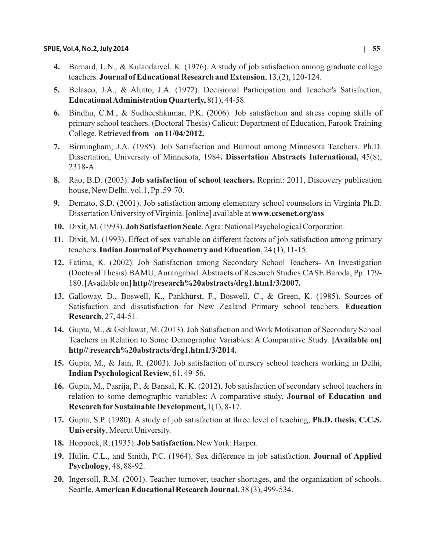- **4.** Barnard, L.N., & Kulandaivel, K. (1976). A study of job satisfaction among graduate college teachers. **Journal of Educational Research and Extension**, 13,(2), 120-124.
- **5.** Belasco, J.A., & Alutto, J.A. (1972). Decisional Participation and Teacher's Satisfaction, **Educational Administration Quarterly,** 8(1), 44-58.
- **6.** Bindhu, C.M., & Sudheeshkumar, P.K. (2006). Job satisfaction and stress coping skills of primary school teachers. (Doctoral Thesis) Calicut: Department of Education, Farook Training College. Retrieved **from on 11/04/2012.**
- **7.** Birmingham, J.A. (1985). Job Satisfaction and Burnout among Minnesota Teachers. Ph.D. Dissertation, University of Minnesota, 1984**. Dissertation Abstracts International,** 45(8), 2318-A.
- **8.** Rao, B.D. (2003). **Job satisfaction of school teachers.** Reprint: 2011, Discovery publication house, New Delhi. vol.1, Pp .59-70.
- **9.** Demato, S.D. (2001). Job satisfaction among elementary school counselors in Virginia Ph.D. Dissertation University of Virginia. [online] available at **www.ccsenet.org/ass**
- **10.** Dixit, M. (1993). **Job Satisfaction Scale**. Agra: National Psychological Corporation.
- **11.** Dixit, M. (1993). Effect of sex variable on different factors of job satisfaction among primary teachers. **Indian Journal of Psychometry and Education**, 24 (1), 11-15.
- **12.** Fatima, K. (2002). Job Satisfaction among Secondary School Teachers- An Investigation (Doctoral Thesis) BAMU, Aurangabad. Abstracts of Research Studies CASE Baroda, Pp. 179- 180. [Available on] **http//|research%20abstracts/drg1.htm1/3/2007.**
- **13.** Galloway, D., Boswell, K., Pankhurst, F., Boswell, C., & Green, K. (1985). Sources of Satisfaction and dissatisfaction for New Zealand Primary school teachers. **Education Research,** 27, 44-51.
- **14.** Gupta, M., & Gehlawat, M. (2013). Job Satisfaction and Work Motivation of Secondary School Teachers in Relation to Some Demographic Variables: A Comparative Study. **[Available on] http//|research%20abstracts/drg1.htm1/3/2014.**
- **15.** Gupta, M., & Jain, R. (2003). Job satisfaction of nursery school teachers working in Delhi, **Indian Psychological Review**, 61, 49-56.
- **16.** Gupta, M., Pasrija, P., & Bansal, K. K. (2012). Job satisfaction of secondary school teachers in relation to some demographic variables: A comparative study, **Journal of Education and Research forSustainable Development,** 1(1), 8-17.
- **17.** Gupta, S.P. (1980). A study of job satisfaction at three level of teaching, **Ph.D. thesis, C.C.S. University**, Meerut University.
- **18.** Hoppock, R. (1935). **Job Satisfaction.** New York: Harper.
- **19.** Hulin, C.L., and Smith, P.C. (1964). Sex difference in job satisfaction. **Journal of Applied Psychology**, 48, 88-92.
- **20.** Ingersoll, R.M. (2001). Teacher turnover, teacher shortages, and the organization of schools. Seattle, **American Educational Research Journal,** 38 (3), 499-534.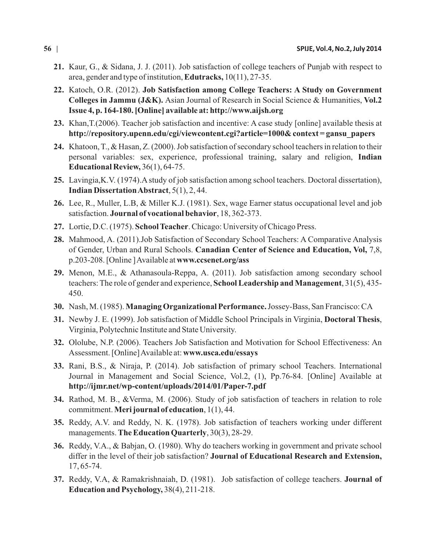- **21.** Kaur, G., & Sidana, J. J. (2011). Job satisfaction of college teachers of Punjab with respect to area, gender and type of institution, **Edutracks,** 10(11), 27-35.
- **22.** Katoch, O.R. (2012). **Job Satisfaction among College Teachers: A Study on Government Colleges in Jammu (J&K).** Asian Journal of Research in Social Science & Humanities, **Vol.2 Issue 4, p. 164-180. [Online] available at: http://www.aijsh.org**
- **23.** Khan,T.(2006). Teacher job satisfaction and incentive: A case study [online] available thesis at **http://repository.upenn.edu/cgi/viewcontent.cgi?article=1000& context = gansu\_papers**
- **24.** Khatoon, T., & Hasan, Z. (2000). Job satisfaction of secondary school teachers in relation to their personal variables: sex, experience, professional training, salary and religion, **Indian Educational Review,** 36(1), 64-75.
- **25.** Lavingia,K.V. (1974).Astudy of job satisfaction among school teachers. Doctoral dissertation), **Indian Dissertation Abstract**, 5(1), 2, 44.
- **26.** Lee, R., Muller, L.B, & Miller K.J. (1981). Sex, wage Earner status occupational level and job satisfaction. **Journal of vocational behavior**, 18, 362-373.
- **27.** Lortie, D.C. (1975). **School Teacher**. Chicago: University of Chicago Press.
- **28.** Mahmood, A. (2011).Job Satisfaction of Secondary School Teachers: A Comparative Analysis of Gender, Urban and Rural Schools. **Canadian Center of Science and Education, Vol,** 7,8, p.203-208. [Online ] Available at **www.ccsenet.org/ass**
- **29.** Menon, M.E., & Athanasoula-Reppa, A. (2011). Job satisfaction among secondary school teachers: The role of gender and experience, **School Leadership and Management**, 31(5), 435- 450.
- **30.** Nash, M. (1985). **Managing Organizational Performance.**Jossey-Bass, San Francisco: CA
- **31.** Newby J. E. (1999). Job satisfaction of Middle School Principals in Virginia, **Doctoral Thesis**, Virginia, Polytechnic Institute and State University.
- **32.** Ololube, N.P. (2006). Teachers Job Satisfaction and Motivation for School Effectiveness: An Assessment. [Online] Available at: **www.usca.edu/essays**
- **33.** Rani, B.S., & Niraja, P. (2014). Job satisfaction of primary school Teachers. International Journal in Management and Social Science, Vol.2, (1), Pp.76-84. [Online] Available at **http://ijmr.net/wp-content/uploads/2014/01/Paper-7.pdf**
- **34.** Rathod, M. B., &Verma, M. (2006). Study of job satisfaction of teachers in relation to role commitment. **Meri journal of education**, 1(1), 44.
- **35.** Reddy, A.V. and Reddy, N. K. (1978). Job satisfaction of teachers working under different managements. **The Education Quarterly**, 30(3), 28-29.
- **36.** Reddy, V.A., & Babjan, O. (1980). Why do teachers working in government and private school differ in the level of their job satisfaction? **Journal of Educational Research and Extension,** 17, 65-74.
- **37.** Reddy, V.A, & Ramakrishnaiah, D. (1981). Job satisfaction of college teachers. **Journal of Education and Psychology,** 38(4), 211-218.